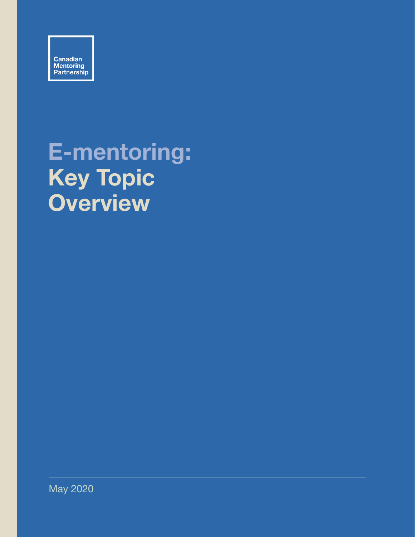

# **E-mentoring: Key Topic Overview**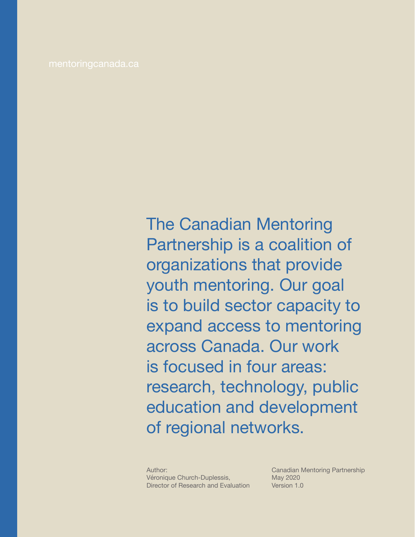The Canadian Mentoring Partnership is a coalition of organizations that provide youth mentoring. Our goal is to build sector capacity to expand access to mentoring across Canada. Our work is focused in four areas: research, technology, public education and development of regional networks.

Author: Véronique Church-Duplessis, Director of Research and Evaluation

Canadian Mentoring Partnership May 2020 Version 1.0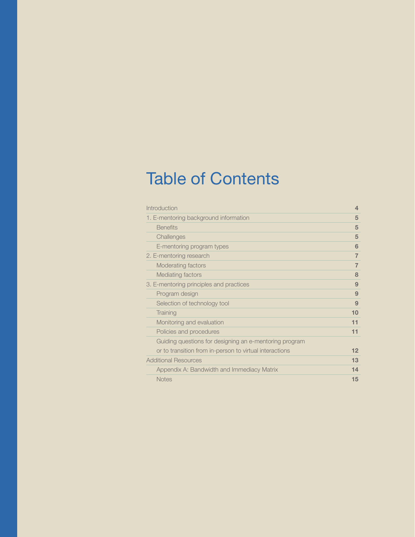## Table of Contents

| Introduction                                            | 4              |
|---------------------------------------------------------|----------------|
| 1. E-mentoring background information                   | 5              |
| <b>Benefits</b>                                         | 5              |
| Challenges                                              | 5              |
| E-mentoring program types                               | 6              |
| 2. E-mentoring research                                 | $\overline{7}$ |
| Moderating factors                                      | 7              |
| Mediating factors                                       | 8              |
| 3. E-mentoring principles and practices                 | 9              |
| Program design                                          | 9              |
| Selection of technology tool                            | 9              |
| Training                                                | 10             |
| Monitoring and evaluation                               | 11             |
| Policies and procedures                                 | 11             |
| Guiding questions for designing an e-mentoring program  |                |
| or to transition from in-person to virtual interactions | 12             |
| <b>Additional Resources</b>                             | 13             |
| Appendix A: Bandwidth and Immediacy Matrix              | 14             |
| <b>Notes</b>                                            | 15             |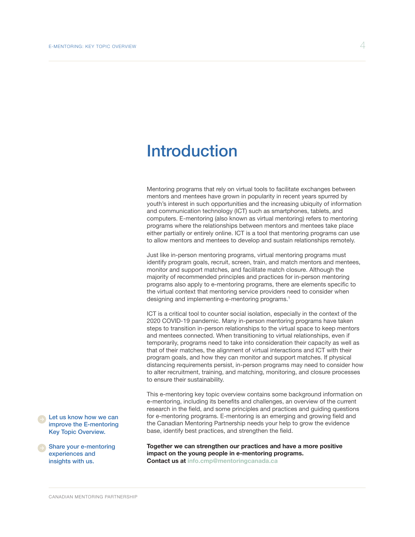### <span id="page-3-0"></span>Introduction

Mentoring programs that rely on virtual tools to facilitate exchanges between mentors and mentees have grown in popularity in recent years spurred by youth's interest in such opportunities and the increasing ubiquity of information and communication technology (ICT) such as smartphones, tablets, and computers. E-mentoring (also known as virtual mentoring) refers to mentoring programs where the relationships between mentors and mentees take place either partially or entirely online. ICT is a tool that mentoring programs can use to allow mentors and mentees to develop and sustain relationships remotely.

Just like in-person mentoring programs, virtual mentoring programs must identify program goals, recruit, screen, train, and match mentors and mentees, monitor and support matches, and facilitate match closure. Although the majority of recommended principles and practices for in-person mentoring programs also apply to e-mentoring programs, there are elements specific to the virtual context that mentoring service providers need to consider when designing and implementing e-mentoring programs.<sup>1</sup>

ICT is a critical tool to counter social isolation, especially in the context of the 2020 COVID-19 pandemic. Many in-person mentoring programs have taken steps to transition in-person relationships to the virtual space to keep mentors and mentees connected. When transitioning to virtual relationships, even if temporarily, programs need to take into consideration their capacity as well as that of their matches, the alignment of virtual interactions and ICT with their program goals, and how they can monitor and support matches. If physical distancing requirements persist, in-person programs may need to consider how to alter recruitment, training, and matching, monitoring, and closure processes to ensure their sustainability.

This e-mentoring key topic overview contains some background information on e-mentoring, including its benefits and challenges, an overview of the current research in the field, and some principles and practices and guiding questions for e-mentoring programs. E-mentoring is an emerging and growing field and the Canadian Mentoring Partnership needs your help to grow the evidence base, identify best practices, and strengthen the field.

**Together we can strengthen our practices and have a more positive impact on the young people in e-mentoring programs. Contact us at info.cmp@mentoringcanada.ca**

Let us know how we can improve the E-mentoring Key Topic Overview.

Share your e-mentoring experiences and insights with us.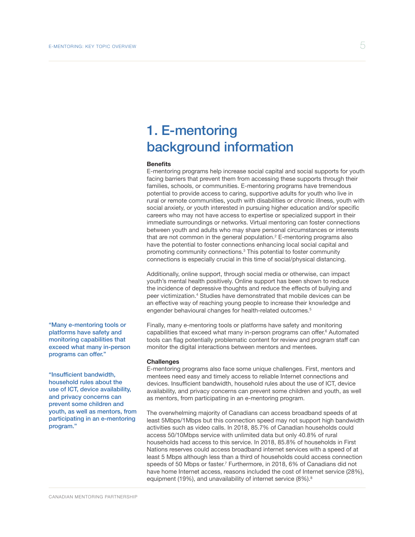### <span id="page-4-0"></span>1. E-mentoring background information

#### **Benefits**

E-mentoring programs help increase social capital and social supports for youth facing barriers that prevent them from accessing these supports through their families, schools, or communities. E-mentoring programs have tremendous potential to provide access to caring, supportive adults for youth who live in rural or remote communities, youth with disabilities or chronic illness, youth with social anxiety, or youth interested in pursuing higher education and/or specific careers who may not have access to expertise or specialized support in their immediate surroundings or networks. Virtual mentoring can foster connections between youth and adults who may share personal circumstances or interests that are not common in the general population.<sup>2</sup> E-mentoring programs also have the potential to foster connections enhancing local social capital and promoting community connections.3 This potential to foster community connections is especially crucial in this time of social/physical distancing.

Additionally, online support, through social media or otherwise, can impact youth's mental health positively. Online support has been shown to reduce the incidence of depressive thoughts and reduce the effects of bullying and peer victimization.<sup>4</sup> Studies have demonstrated that mobile devices can be an effective way of reaching young people to increase their knowledge and engender behavioural changes for health-related outcomes.<sup>5</sup>

Finally, many e-mentoring tools or platforms have safety and monitoring capabilities that exceed what many in-person programs can offer.<sup>6</sup> Automated tools can flag potentially problematic content for review and program staff can monitor the digital interactions between mentors and mentees.

#### **Challenges**

E-mentoring programs also face some unique challenges. First, mentors and mentees need easy and timely access to reliable Internet connections and devices. Insufficient bandwidth, household rules about the use of ICT, device availability, and privacy concerns can prevent some children and youth, as well as mentors, from participating in an e-mentoring program.

The overwhelming majority of Canadians can access broadband speeds of at least 5Mbps/1Mbps but this connection speed may not support high bandwidth activities such as video calls. In 2018, 85.7% of Canadian households could access 50/10Mbps service with unlimited data but only 40.8% of rural households had access to this service. In 2018, 85.8% of households in First Nations reserves could access broadband internet services with a speed of at least 5 Mbps although less than a third of households could access connection speeds of 50 Mbps or faster.<sup>7</sup> Furthermore, in 2018, 6% of Canadians did not have home Internet access, reasons included the cost of Internet service (28%), equipment (19%), and unavailability of internet service (8%).<sup>8</sup>

"Many e-mentoring tools or platforms have safety and monitoring capabilities that exceed what many in-person programs can offer."

"Insufficient bandwidth, household rules about the use of ICT, device availability, and privacy concerns can prevent some children and youth, as well as mentors, from participating in an e-mentoring program."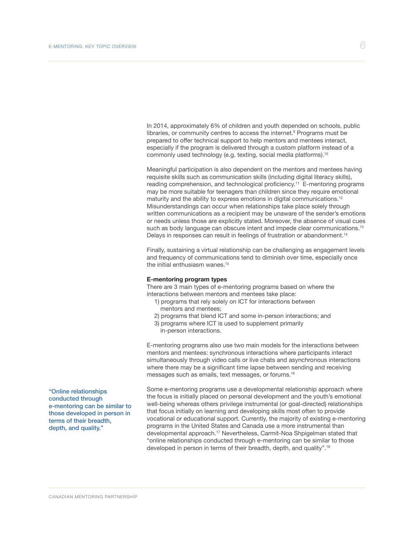<span id="page-5-0"></span>In 2014, approximately 6% of children and youth depended on schools, public libraries, or community centres to access the internet.<sup>9</sup> Programs must be prepared to offer technical support to help mentors and mentees interact, especially if the program is delivered through a custom platform instead of a commonly used technology (e.g. texting, social media platforms).10

Meaningful participation is also dependent on the mentors and mentees having requisite skills such as communication skills (including digital literacy skills), reading comprehension, and technological proficiency.11 E-mentoring programs may be more suitable for teenagers than children since they require emotional maturity and the ability to express emotions in digital communications.<sup>12</sup> Misunderstandings can occur when relationships take place solely through written communications as a recipient may be unaware of the sender's emotions or needs unless those are explicitly stated. Moreover, the absence of visual cues such as body language can obscure intent and impede clear communications.<sup>13</sup> Delays in responses can result in feelings of frustration or abandonment.<sup>14</sup>

Finally, sustaining a virtual relationship can be challenging as engagement levels and frequency of communications tend to diminish over time, especially once the initial enthusiasm wanes.<sup>15</sup>

#### **E-mentoring program types**

There are 3 main types of e-mentoring programs based on where the interactions between mentors and mentees take place:

- 1) programs that rely solely on ICT for interactions between mentors and mentees;
- 2) programs that blend ICT and some in-person interactions; and
- 3) programs where ICT is used to supplement primarily in-person interactions.

E-mentoring programs also use two main models for the interactions between mentors and mentees: synchronous interactions where participants interact simultaneously through video calls or live chats and asynchronous interactions where there may be a significant time lapse between sending and receiving messages such as emails, text messages, or forums.16

Some e-mentoring programs use a developmental relationship approach where the focus is initially placed on personal development and the youth's emotional well-being whereas others privilege instrumental (or goal-directed) relationships that focus initially on learning and developing skills most often to provide vocational or educational support. Currently, the majority of existing e-mentoring programs in the United States and Canada use a more instrumental than developmental approach.17 Nevertheless, Carmit-Noa Shpigelman stated that "online relationships conducted through e-mentoring can be similar to those developed in person in terms of their breadth, depth, and quality".<sup>18</sup>

"Online relationships conducted through e-mentoring can be similar to those developed in person in terms of their breadth, depth, and quality."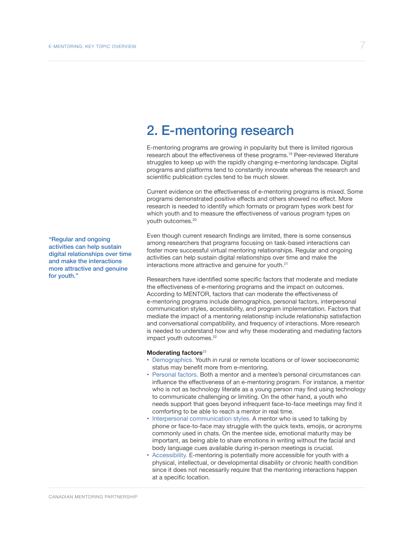### <span id="page-6-0"></span>2. E-mentoring research

E-mentoring programs are growing in popularity but there is limited rigorous research about the effectiveness of these programs.19 Peer-reviewed literature struggles to keep up with the rapidly changing e-mentoring landscape. Digital programs and platforms tend to constantly innovate whereas the research and scientific publication cycles tend to be much slower.

Current evidence on the effectiveness of e-mentoring programs is mixed. Some programs demonstrated positive effects and others showed no effect. More research is needed to identify which formats or program types work best for which youth and to measure the effectiveness of various program types on youth outcomes.<sup>20</sup>

Even though current research findings are limited, there is some consensus among researchers that programs focusing on task-based interactions can foster more successful virtual mentoring relationships. Regular and ongoing activities can help sustain digital relationships over time and make the interactions more attractive and genuine for youth.<sup>21</sup>

Researchers have identified some specific factors that moderate and mediate the effectiveness of e-mentoring programs and the impact on outcomes. According to MENTOR, factors that can moderate the effectiveness of e-mentoring programs include demographics, personal factors, interpersonal communication styles, accessibility, and program implementation. Factors that mediate the impact of a mentoring relationship include relationship satisfaction and conversational compatibility, and frequency of interactions. More research is needed to understand how and why these moderating and mediating factors impact youth outcomes.<sup>22</sup>

#### **Moderating factors**<sup>23</sup>

- Demographics. Youth in rural or remote locations or of lower socioeconomic status may benefit more from e-mentoring.
- Personal factors. Both a mentor and a mentee's personal circumstances can influence the effectiveness of an e-mentoring program. For instance, a mentor who is not as technology literate as a young person may find using technology to communicate challenging or limiting. On the other hand, a youth who needs support that goes beyond infrequent face-to-face meetings may find it comforting to be able to reach a mentor in real time.
- Interpersonal communication styles. A mentor who is used to talking by phone or face-to-face may struggle with the quick texts, emojis, or acronyms commonly used in chats. On the mentee side, emotional maturity may be important, as being able to share emotions in writing without the facial and body language cues available during in-person meetings is crucial.
- Accessibility. E-mentoring is potentially more accessible for youth with a physical, intellectual, or developmental disability or chronic health condition since it does not necessarily require that the mentoring interactions happen at a specific location.

"Regular and ongoing activities can help sustain digital relationships over time and make the interactions more attractive and genuine for youth."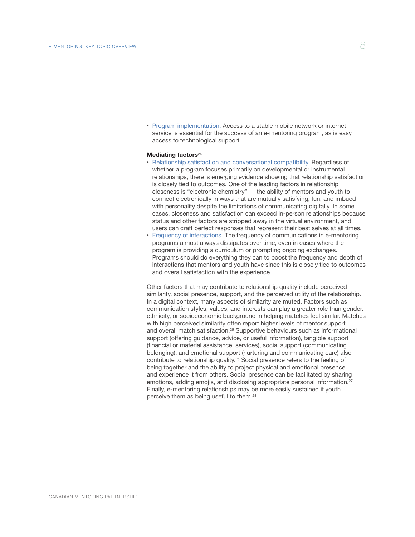<span id="page-7-0"></span>• Program implementation. Access to a stable mobile network or internet service is essential for the success of an e-mentoring program, as is easy access to technological support.

#### **Mediating factors**<sup>24</sup>

- Relationship satisfaction and conversational compatibility. Regardless of whether a program focuses primarily on developmental or instrumental relationships, there is emerging evidence showing that relationship satisfaction is closely tied to outcomes. One of the leading factors in relationship closeness is "electronic chemistry" — the ability of mentors and youth to connect electronically in ways that are mutually satisfying, fun, and imbued with personality despite the limitations of communicating digitally. In some cases, closeness and satisfaction can exceed in-person relationships because status and other factors are stripped away in the virtual environment, and users can craft perfect responses that represent their best selves at all times.
- Frequency of interactions. The frequency of communications in e-mentoring programs almost always dissipates over time, even in cases where the program is providing a curriculum or prompting ongoing exchanges. Programs should do everything they can to boost the frequency and depth of interactions that mentors and youth have since this is closely tied to outcomes and overall satisfaction with the experience.

Other factors that may contribute to relationship quality include perceived similarity, social presence, support, and the perceived utility of the relationship. In a digital context, many aspects of similarity are muted. Factors such as communication styles, values, and interests can play a greater role than gender, ethnicity, or socioeconomic background in helping matches feel similar. Matches with high perceived similarity often report higher levels of mentor support and overall match satisfaction.<sup>25</sup> Supportive behaviours such as informational support (offering guidance, advice, or useful information), tangible support (financial or material assistance, services), social support (communicating belonging), and emotional support (nurturing and communicating care) also contribute to relationship quality.26 Social presence refers to the feeling of being together and the ability to project physical and emotional presence and experience it from others. Social presence can be facilitated by sharing emotions, adding emojis, and disclosing appropriate personal information.<sup>27</sup> Finally, e-mentoring relationships may be more easily sustained if youth perceive them as being useful to them.28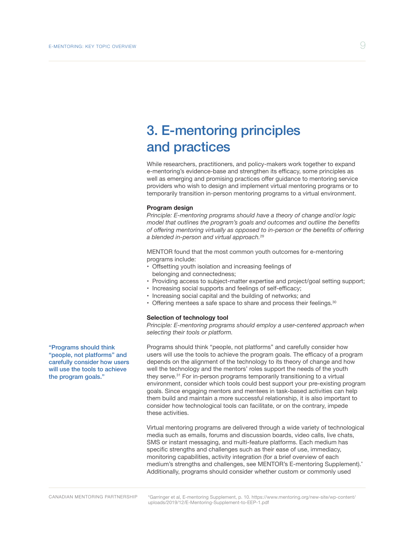### <span id="page-8-0"></span>3. E-mentoring principles and practices

While researchers, practitioners, and policy-makers work together to expand e-mentoring's evidence-base and strengthen its efficacy, some principles as well as emerging and promising practices offer guidance to mentoring service providers who wish to design and implement virtual mentoring programs or to temporarily transition in-person mentoring programs to a virtual environment.

#### **Program design**

*Principle: E-mentoring programs should have a theory of change and/or logic model that outlines the program's goals and outcomes and outline the benefits of offering mentoring virtually as opposed to in-person or the benefits of offering a blended in-person and virtual approach.*29

MENTOR found that the most common youth outcomes for e-mentoring programs include:

- Offsetting youth isolation and increasing feelings of belonging and connectedness;
- Providing access to subject-matter expertise and project/goal setting support;
- Increasing social supports and feelings of self-efficacy;
- Increasing social capital and the building of networks; and
- Offering mentees a safe space to share and process their feelings.<sup>30</sup>

#### **Selection of technology tool**

*Principle: E-mentoring programs should employ a user-centered approach when selecting their tools or platform.*

Programs should think "people, not platforms" and carefully consider how users will use the tools to achieve the program goals. The efficacy of a program depends on the alignment of the technology to its theory of change and how well the technology and the mentors' roles support the needs of the youth they serve.31 For in-person programs temporarily transitioning to a virtual environment, consider which tools could best support your pre-existing program goals. Since engaging mentors and mentees in task-based activities can help them build and maintain a more successful relationship, it is also important to consider how technological tools can facilitate, or on the contrary, impede these activities.

Virtual mentoring programs are delivered through a wide variety of technological media such as emails, forums and discussion boards, video calls, live chats, SMS or instant messaging, and multi-feature platforms. Each medium has specific strengths and challenges such as their ease of use, immediacy, monitoring capabilities, activity integration (for a brief overview of each medium's strengths and challenges, see MENTOR's E-mentoring Supplement).\* Additionally, programs should consider whether custom or commonly used

"Programs should think "people, not platforms" and carefully consider how users will use the tools to achieve the program goals."

[\\*Garringer et al, E-mentoring Supplement, p. 10. https://www.mentoring.org/new-site/wp-content/](https://www.mentoring.org/new-site/wp-content/uploads/2019/12/E-Mentoring-Supplement-to-EEP-1.pdf) uploads/2019/12/E-Mentoring-Supplement-to-EEP-1.pdf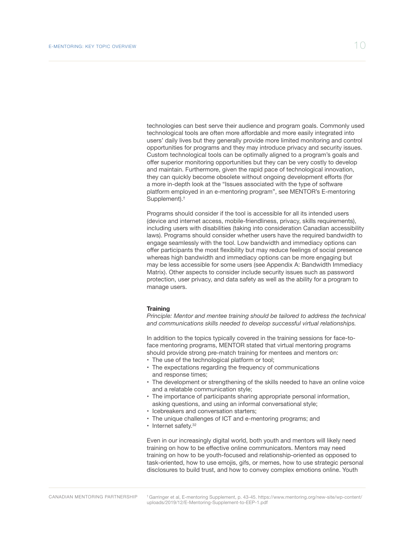<span id="page-9-0"></span>technologies can best serve their audience and program goals. Commonly used technological tools are often more affordable and more easily integrated into users' daily lives but they generally provide more limited monitoring and control opportunities for programs and they may introduce privacy and security issues. Custom technological tools can be optimally aligned to a program's goals and offer superior monitoring opportunities but they can be very costly to develop and maintain. Furthermore, given the rapid pace of technological innovation, they can quickly become obsolete without ongoing development efforts (for a more in-depth look at the "Issues associated with the type of software platform employed in an e-mentoring program", see MENTOR's E-mentoring Supplement).†

Programs should consider if the tool is accessible for all its intended users (device and internet access, mobile-friendliness, privacy, skills requirements), including users with disabilities (taking into consideration Canadian accessibility laws). Programs should consider whether users have the required bandwidth to engage seamlessly with the tool. Low bandwidth and immediacy options can offer participants the most flexibility but may reduce feelings of social presence whereas high bandwidth and immediacy options can be more engaging but may be less accessible for some users (see Appendix A: Bandwidth Immediacy Matrix). Other aspects to consider include security issues such as password protection, user privacy, and data safety as well as the ability for a program to manage users.

#### **Training**

*Principle: Mentor and mentee training should be tailored to address the technical and communications skills needed to develop successful virtual relationships.*

In addition to the topics typically covered in the training sessions for face-toface mentoring programs, MENTOR stated that virtual mentoring programs should provide strong pre-match training for mentees and mentors on:

- The use of the technological platform or tool:
- The expectations regarding the frequency of communications and response times;
- The development or strengthening of the skills needed to have an online voice and a relatable communication style;
- The importance of participants sharing appropriate personal information, asking questions, and using an informal conversational style;
- Icebreakers and conversation starters;
- The unique challenges of ICT and e-mentoring programs; and
- Internet safety.<sup>32</sup>

Even in our increasingly digital world, both youth and mentors will likely need training on how to be effective online communicators. Mentors may need training on how to be youth-focused and relationship-oriented as opposed to task-oriented, how to use emojis, gifs, or memes, how to use strategic personal disclosures to build trust, and how to convey complex emotions online. Youth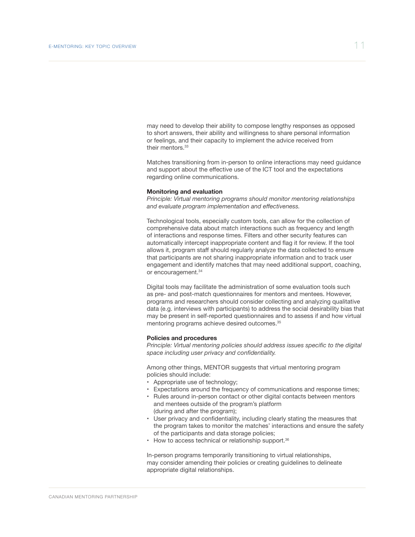<span id="page-10-0"></span>may need to develop their ability to compose lengthy responses as opposed to short answers, their ability and willingness to share personal information or feelings, and their capacity to implement the advice received from their mentors.<sup>33</sup>

Matches transitioning from in-person to online interactions may need guidance and support about the effective use of the ICT tool and the expectations regarding online communications.

#### **Monitoring and evaluation**

*Principle: Virtual mentoring programs should monitor mentoring relationships and evaluate program implementation and effectiveness.*

Technological tools, especially custom tools, can allow for the collection of comprehensive data about match interactions such as frequency and length of interactions and response times. Filters and other security features can automatically intercept inappropriate content and flag it for review. If the tool allows it, program staff should regularly analyze the data collected to ensure that participants are not sharing inappropriate information and to track user engagement and identify matches that may need additional support, coaching, or encouragement.34

Digital tools may facilitate the administration of some evaluation tools such as pre- and post-match questionnaires for mentors and mentees. However, programs and researchers should consider collecting and analyzing qualitative data (e.g. interviews with participants) to address the social desirability bias that may be present in self-reported questionnaires and to assess if and how virtual mentoring programs achieve desired outcomes.<sup>35</sup>

#### **Policies and procedures**

*Principle: Virtual mentoring policies should address issues specific to the digital space including user privacy and confidentiality.*

Among other things, MENTOR suggests that virtual mentoring program policies should include:

- Appropriate use of technology;
- Expectations around the frequency of communications and response times;
- Rules around in-person contact or other digital contacts between mentors and mentees outside of the program's platform (during and after the program);
- User privacy and confidentiality, including clearly stating the measures that the program takes to monitor the matches' interactions and ensure the safety of the participants and data storage policies;
- How to access technical or relationship support.<sup>36</sup>

In-person programs temporarily transitioning to virtual relationships, may consider amending their policies or creating guidelines to delineate appropriate digital relationships.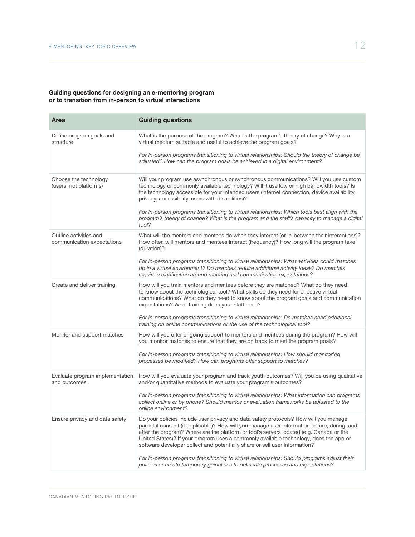#### <span id="page-11-0"></span>**Guiding questions for designing an e-mentoring program or to transition from in-person to virtual interactions**

| Area                                                 | <b>Guiding questions</b>                                                                                                                                                                                                                                                                                                                                                                                                                             |
|------------------------------------------------------|------------------------------------------------------------------------------------------------------------------------------------------------------------------------------------------------------------------------------------------------------------------------------------------------------------------------------------------------------------------------------------------------------------------------------------------------------|
| Define program goals and<br>structure                | What is the purpose of the program? What is the program's theory of change? Why is a<br>virtual medium suitable and useful to achieve the program goals?                                                                                                                                                                                                                                                                                             |
|                                                      | For in-person programs transitioning to virtual relationships: Should the theory of change be<br>adjusted? How can the program goals be achieved in a digital environment?                                                                                                                                                                                                                                                                           |
| Choose the technology<br>(users, not platforms)      | Will your program use asynchronous or synchronous communications? Will you use custom<br>technology or commonly available technology? Will it use low or high bandwidth tools? Is<br>the technology accessible for your intended users (internet connection, device availability,<br>privacy, accessibility, users with disabilities)?                                                                                                               |
|                                                      | For in-person programs transitioning to virtual relationships: Which tools best align with the<br>program's theory of change? What is the program and the staff's capacity to manage a digital<br>tool?                                                                                                                                                                                                                                              |
| Outline activities and<br>communication expectations | What will the mentors and mentees do when they interact (or in-between their interactions)?<br>How often will mentors and mentees interact (frequency)? How long will the program take<br>(duration)?                                                                                                                                                                                                                                                |
|                                                      | For in-person programs transitioning to virtual relationships: What activities could matches<br>do in a virtual environment? Do matches require additional activity ideas? Do matches<br>require a clarification around meeting and communication expectations?                                                                                                                                                                                      |
| Create and deliver training                          | How will you train mentors and mentees before they are matched? What do they need<br>to know about the technological tool? What skills do they need for effective virtual<br>communications? What do they need to know about the program goals and communication<br>expectations? What training does your staff need?                                                                                                                                |
|                                                      | For in-person programs transitioning to virtual relationships: Do matches need additional<br>training on online communications or the use of the technological tool?                                                                                                                                                                                                                                                                                 |
| Monitor and support matches                          | How will you offer ongoing support to mentors and mentees during the program? How will<br>you monitor matches to ensure that they are on track to meet the program goals?                                                                                                                                                                                                                                                                            |
|                                                      | For in-person programs transitioning to virtual relationships: How should monitoring<br>processes be modified? How can programs offer support to matches?                                                                                                                                                                                                                                                                                            |
| Evaluate program implementation<br>and outcomes      | How will you evaluate your program and track youth outcomes? Will you be using qualitative<br>and/or quantitative methods to evaluate your program's outcomes?                                                                                                                                                                                                                                                                                       |
|                                                      | For in-person programs transitioning to virtual relationships: What information can programs<br>collect online or by phone? Should metrics or evaluation frameworks be adjusted to the<br>online environment?                                                                                                                                                                                                                                        |
| Ensure privacy and data safety                       | Do your policies include user privacy and data safety protocols? How will you manage<br>parental consent (if applicable)? How will you manage user information before, during, and<br>after the program? Where are the platform or tool's servers located (e.g. Canada or the<br>United States)? If your program uses a commonly available technology, does the app or<br>software developer collect and potentially share or sell user information? |
|                                                      | For in-person programs transitioning to virtual relationships: Should programs adjust their<br>policies or create temporary guidelines to delineate processes and expectations?                                                                                                                                                                                                                                                                      |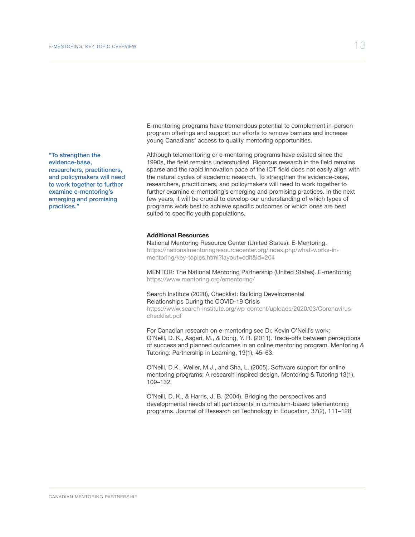<span id="page-12-0"></span>"To strengthen the evidence-base, researchers, practitioners, and policymakers will need to work together to further examine e-mentoring's emerging and promising practices."

E-mentoring programs have tremendous potential to complement in-person program offerings and support our efforts to remove barriers and increase young Canadians' access to quality mentoring opportunities.

Although telementoring or e-mentoring programs have existed since the 1990s, the field remains understudied. Rigorous research in the field remains sparse and the rapid innovation pace of the ICT field does not easily align with the natural cycles of academic research. To strengthen the evidence-base, researchers, practitioners, and policymakers will need to work together to further examine e-mentoring's emerging and promising practices. In the next few years, it will be crucial to develop our understanding of which types of programs work best to achieve specific outcomes or which ones are best suited to specific youth populations.

#### **Additional Resources**

National Mentoring Resource Center (United States). E-Mentoring. https://nationalmentoringresourcecenter.org/index.php/what-works-inmentoring/key-topics.html?layout=edit&id=204

MENTOR: The National Mentoring Partnership (United States). E-mentoring https://www.mentoring.org/ementoring/

#### Search Institute (2020), Checklist: Building Developmental Relationships During the COVID-19 Crisis

https://www.search-institute.org/wp-content/uploads/2020/03/Coronaviruschecklist.pdf

For Canadian research on e-mentoring see Dr. Kevin O'Neill's work: O'Neill, D. K., Asgari, M., & Dong, Y. R. (2011). Trade-offs between perceptions of success and planned outcomes in an online mentoring program. Mentoring & Tutoring: Partnership in Learning, 19(1), 45–63.

O'Neill, D.K., Weiler, M.J., and Sha, L. (2005). Software support for online mentoring programs: A research inspired design. Mentoring & Tutoring 13(1), 109–132.

O'Neill, D. K., & Harris, J. B. (2004). Bridging the perspectives and developmental needs of all participants in curriculum-based telementoring programs. Journal of Research on Technology in Education, 37(2), 111–128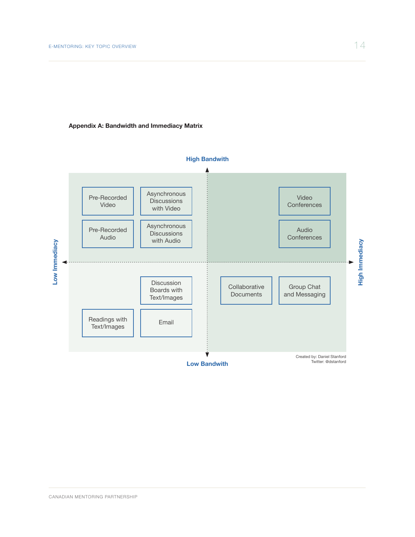#### <span id="page-13-0"></span>**Appendix A: Bandwidth and Immediacy Matrix**